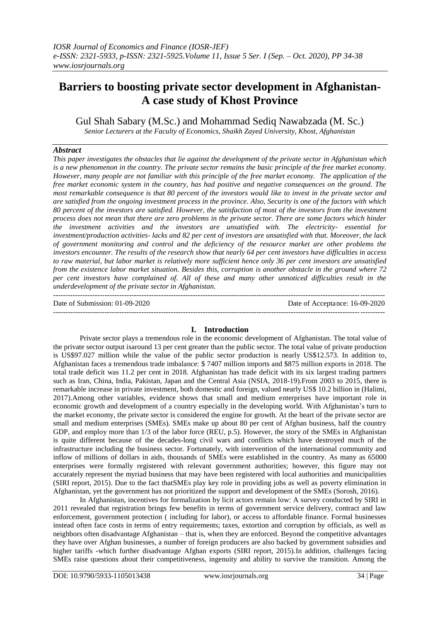# **Barriers to boosting private sector development in Afghanistan-A case study of Khost Province**

Gul Shah Sabary (M.Sc.) and Mohammad Sediq Nawabzada (M. Sc.)

*Senior Lecturers at the Faculty of Economics, Shaikh Zayed University, Khost, Afghanistan*

# *Abstract*

*This paper investigates the obstacles that lie against the development of the private sector in Afghanistan which is a new phenomenon in the country. The private sector remains the basic principle of the free market economy. However, many people are not familiar with this principle of the free market economy. The application of the free market economic system in the country, has had positive and negative consequences on the ground. The most remarkable consequence is that 80 percent of the investors would like to invest in the private sector and are satisfied from the ongoing investment process in the province. Also, Security is one of the factors with which 80 percent of the investors are satisfied. However, the satisfaction of most of the investors from the investment process does not mean that there are zero problems in the private sector. There are some factors which hinder the investment activities and the investors are unsatisfied with. The electricity- essential for investment/production activities- lacks and 82 per cent of investors are unsatisfied with that. Moreover, the lack of government monitoring and control and the deficiency of the resource market are other problems the investors encounter. The results of the research show that nearly 64 per cent investors have difficulties in access to raw material, but labor market is relatively more sufficient hence only 36 per cent investors are unsatisfied from the existence labor market situation. Besides this, corruption is another obstacle in the ground where 72 per cent investors have complained of. All of these and many other unnoticed difficulties result in the underdevelopment of the private sector in Afghanistan.* ---------------------------------------------------------------------------------------------------------------------------------------

Date of Submission: 01-09-2020 Date of Acceptance: 16-09-2020

# **I. Introduction**

---------------------------------------------------------------------------------------------------------------------------------------

Private sector plays a tremendous role in the economic development of Afghanistan. The total value of the private sector output isaround 13 per cent greater than the public sector. The total value of private production is US\$97.027 million while the value of the public sector production is nearly US\$12.573. In addition to, Afghanistan faces a tremendous trade imbalance: \$ 7407 million imports and \$875 million exports in 2018. The total trade deficit was 11.2 per cent in 2018. Afghanistan has trade deficit with its six largest trading partners such as Iran, China, India, Pakistan, Japan and the Central Asia (NSIA, 2018-19).From 2003 to 2015, there is remarkable increase in private investment, both domestic and foreign, valued nearly US\$ 10.2 billion in (Halimi, 2017).Among other variables, evidence shows that small and medium enterprises have important role in economic growth and development of a country especially in the developing world. With Afghanistan's turn to the market economy, the private sector is considered the engine for growth. At the heart of the private sector are small and medium enterprises (SMEs). SMEs make up about 80 per cent of Afghan business, half the country GDP, and employ more than 1/3 of the labor force (REU, p.5). However, the story of the SMEs in Afghanistan is quite different because of the decades-long civil wars and conflicts which have destroyed much of the infrastructure including the business sector. Fortunately, with intervention of the international community and inflow of millions of dollars in aids, thousands of SMEs were established in the country. As many as 65000 enterprises were formally registered with relevant government authorities; however, this figure may not accurately represent the myriad business that may have been registered with local authorities and municipalities (SIRI report, 2015). Due to the fact thatSMEs play key role in providing jobs as well as poverty elimination in Afghanistan, yet the government has not prioritized the support and development of the SMEs (Sorosh, 2016).

In Afghanistan, incentives for formalization by licit actors remain low: A survey conducted by SIRI in 2011 revealed that registration brings few benefits in terms of government service delivery, contract and law enforcement, government protection ( including for labor), or access to affordable finance. Formal businesses instead often face costs in terms of entry requirements; taxes, extortion and corruption by officials, as well as neighbors often disadvantage Afghanistan – that is, when they are enforced. Beyond the competitive advantages they have over Afghan businesses, a number of foreign producers are also backed by government subsidies and higher tariffs -which further disadvantage Afghan exports (SIRI report, 2015).In addition, challenges facing SMEs raise questions about their competitiveness, ingenuity and ability to survive the transition. Among the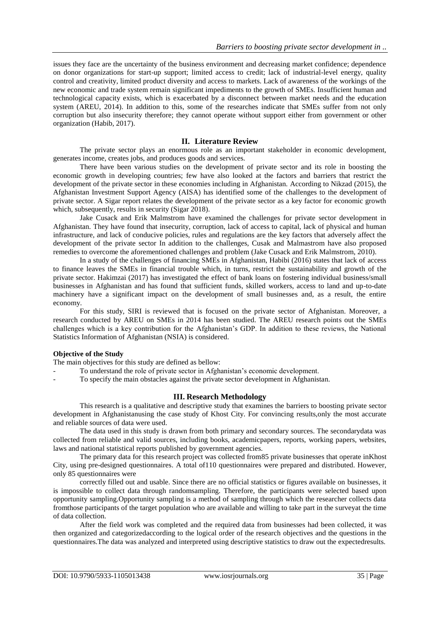issues they face are the uncertainty of the business environment and decreasing market confidence; dependence on donor organizations for start-up support; limited access to credit; lack of industrial-level energy, quality control and creativity, limited product diversity and access to markets. Lack of awareness of the workings of the new economic and trade system remain significant impediments to the growth of SMEs. Insufficient human and technological capacity exists, which is exacerbated by a disconnect between market needs and the education system (AREU, 2014). In addition to this, some of the researches indicate that SMEs suffer from not only corruption but also insecurity therefore; they cannot operate without support either from government or other organization (Habib, 2017).

## **II. Literature Review**

The private sector plays an enormous role as an important stakeholder in economic development, generates income, creates jobs, and produces goods and services.

There have been various studies on the development of private sector and its role in boosting the economic growth in developing countries; few have also looked at the factors and barriers that restrict the development of the private sector in these economies including in Afghanistan. According to Nikzad (2015), the Afghanistan Investment Support Agency (AISA) has identified some of the challenges to the development of private sector. A Sigar report relates the development of the private sector as a key factor for economic growth which, subsequently, results in security (Sigar 2018).

Jake Cusack and Erik Malmstrom have examined the challenges for private sector development in Afghanistan. They have found that insecurity, corruption, lack of access to capital, lack of physical and human infrastructure, and lack of conducive policies, rules and regulations are the key factors that adversely affect the development of the private sector In addition to the challenges, Cusak and Malmastrom have also proposed remedies to overcome the aforementioned challenges and problem (Jake Cusack and Erik Malmstrom, 2010).

In a study of the challenges of financing SMEs in Afghanistan, Habibi (2016) states that lack of access to finance leaves the SMEs in financial trouble which, in turns, restrict the sustainability and growth of the private sector. Hakimzai (2017) has investigated the effect of bank loans on fostering individual business/small businesses in Afghanistan and has found that sufficient funds, skilled workers, access to land and up-to-date machinery have a significant impact on the development of small businesses and, as a result, the entire economy.

For this study, SIRI is reviewed that is focused on the private sector of Afghanistan. Moreover, a research conducted by AREU on SMEs in 2014 has been studied. The AREU research points out the SMEs challenges which is a key contribution for the Afghanistan's GDP. In addition to these reviews, the National Statistics Information of Afghanistan (NSIA) is considered.

#### **Objective of the Study**

The main objectives for this study are defined as bellow:

- To understand the role of private sector in Afghanistan's economic development.
- To specify the main obstacles against the private sector development in Afghanistan.

# **III. Research Methodology**

This research is a qualitative and descriptive study that examines the barriers to boosting private sector development in Afghanistanusing the case study of Khost City. For convincing results,only the most accurate and reliable sources of data were used.

The data used in this study is drawn from both primary and secondary sources. The secondarydata was collected from reliable and valid sources, including books, academicpapers, reports, working papers, websites, laws and national statistical reports published by government agencies.

The primary data for this research project was collected from85 private businesses that operate inKhost City, using pre-designed questionnaires. A total of110 questionnaires were prepared and distributed. However, only 85 questionnaires were

correctly filled out and usable. Since there are no official statistics or figures available on businesses, it is impossible to collect data through randomsampling. Therefore, the participants were selected based upon opportunity sampling.Opportunity sampling is a method of sampling through which the researcher collects data fromthose participants of the target population who are available and willing to take part in the surveyat the time of data collection.

After the field work was completed and the required data from businesses had been collected, it was then organized and categorizedaccording to the logical order of the research objectives and the questions in the questionnaires.The data was analyzed and interpreted using descriptive statistics to draw out the expectedresults.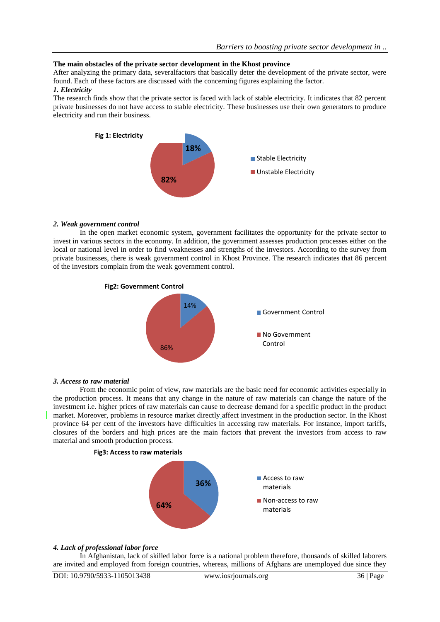## **The main obstacles of the private sector development in the Khost province**

After analyzing the primary data, severalfactors that basically deter the development of the private sector, were found. Each of these factors are discussed with the concerning figures explaining the factor.

# *1. Electricity*

The research finds show that the private sector is faced with lack of stable electricity. It indicates that 82 percent private businesses do not have access to stable electricity. These businesses use their own generators to produce electricity and run their business.



#### *2. Weak government control*

In the open market economic system, government facilitates the opportunity for the private sector to invest in various sectors in the economy. In addition, the government assesses production processes either on the local or national level in order to find weaknesses and strengths of the investors. According to the survey from private businesses, there is weak government control in Khost Province. The research indicates that 86 percent of the investors complain from the weak government control.



#### *3. Access to raw material*

From the economic point of view, raw materials are the basic need for economic activities especially in the production process. It means that any change in the nature of raw materials can change the nature of the investment i.e. higher prices of raw materials can cause to decrease demand for a specific product in the product market. Moreover, problems in resource market directly affect investment in the production sector. In the Khost province 64 per cent of the investors have difficulties in accessing raw materials. For instance, import tariffs, closures of the borders and high prices are the main factors that prevent the investors from access to raw material and smooth production process.



#### *4. Lack of professional labor force*

In Afghanistan, lack of skilled labor force is a national problem therefore, thousands of skilled laborers are invited and employed from foreign countries, whereas, millions of Afghans are unemployed due since they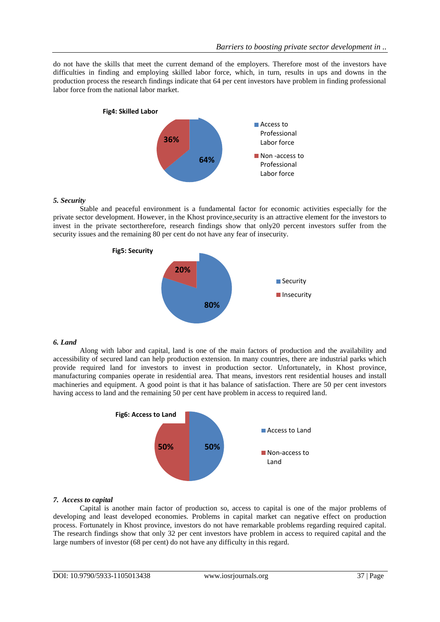do not have the skills that meet the current demand of the employers. Therefore most of the investors have difficulties in finding and employing skilled labor force, which, in turn, results in ups and downs in the production process the research findings indicate that 64 per cent investors have problem in finding professional labor force from the national labor market.



#### *5. Security*

Stable and peaceful environment is a fundamental factor for economic activities especially for the private sector development. However, in the Khost province,security is an attractive element for the investors to invest in the private sectortherefore, research findings show that only20 percent investors suffer from the security issues and the remaining 80 per cent do not have any fear of insecurity.



#### *6. Land*

Along with labor and capital, land is one of the main factors of production and the availability and accessibility of secured land can help production extension. In many countries, there are industrial parks which provide required land for investors to invest in production sector. Unfortunately, in Khost province, manufacturing companies operate in residential area. That means, investors rent residential houses and install machineries and equipment. A good point is that it has balance of satisfaction. There are 50 per cent investors having access to land and the remaining 50 per cent have problem in access to required land.



# *7. Access to capital*

Capital is another main factor of production so, access to capital is one of the major problems of developing and least developed economies. Problems in capital market can negative effect on production process. Fortunately in Khost province, investors do not have remarkable problems regarding required capital. The research findings show that only 32 per cent investors have problem in access to required capital and the large numbers of investor (68 per cent) do not have any difficulty in this regard.